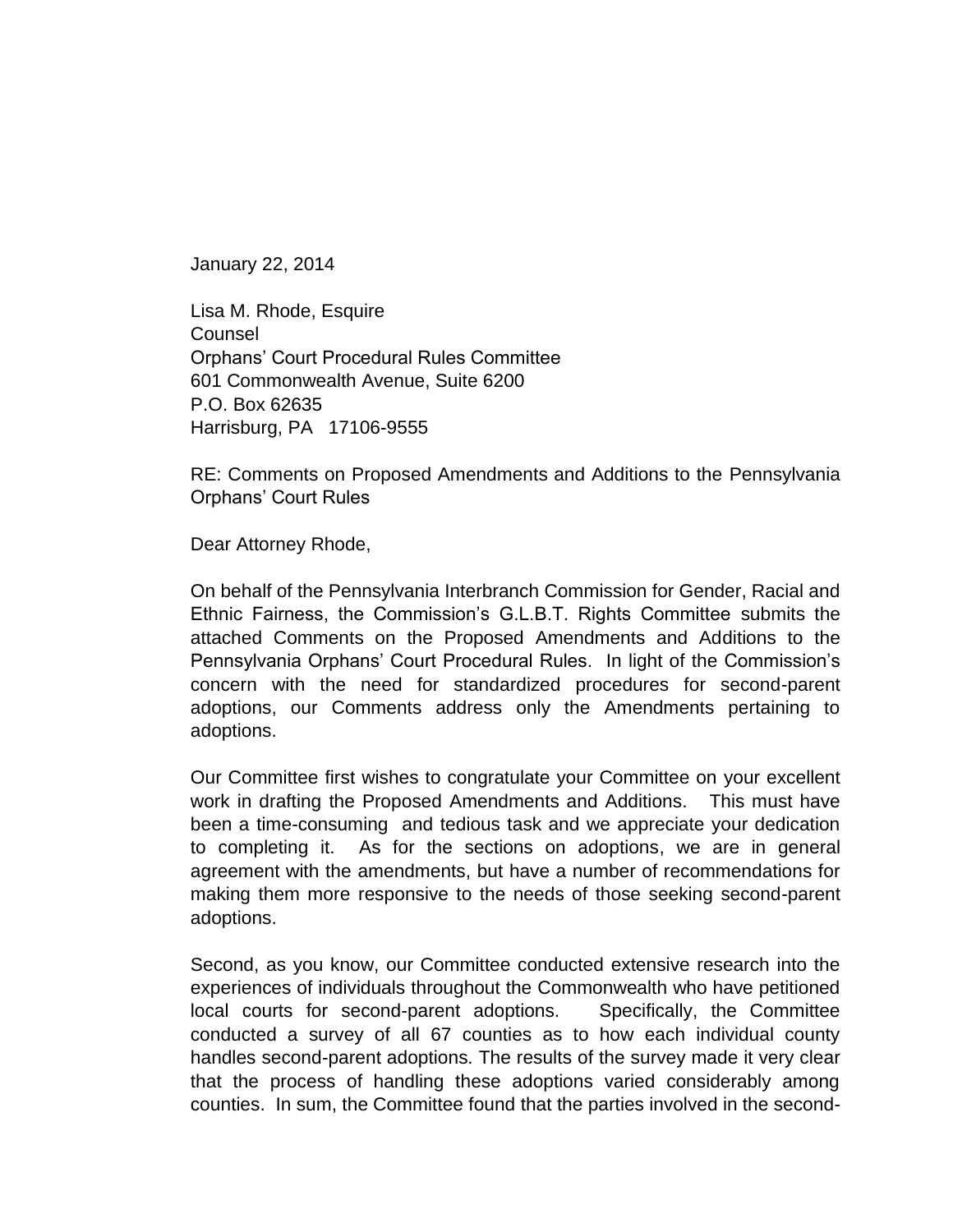January 22, 2014

Lisa M. Rhode, Esquire **Counsel** Orphans' Court Procedural Rules Committee 601 Commonwealth Avenue, Suite 6200 P.O. Box 62635 Harrisburg, PA 17106-9555

RE: Comments on Proposed Amendments and Additions to the Pennsylvania Orphans' Court Rules

Dear Attorney Rhode,

On behalf of the Pennsylvania Interbranch Commission for Gender, Racial and Ethnic Fairness, the Commission's G.L.B.T. Rights Committee submits the attached Comments on the Proposed Amendments and Additions to the Pennsylvania Orphans' Court Procedural Rules. In light of the Commission's concern with the need for standardized procedures for second-parent adoptions, our Comments address only the Amendments pertaining to adoptions.

Our Committee first wishes to congratulate your Committee on your excellent work in drafting the Proposed Amendments and Additions. This must have been a time-consuming and tedious task and we appreciate your dedication to completing it. As for the sections on adoptions, we are in general agreement with the amendments, but have a number of recommendations for making them more responsive to the needs of those seeking second-parent adoptions.

Second, as you know, our Committee conducted extensive research into the experiences of individuals throughout the Commonwealth who have petitioned local courts for second-parent adoptions. Specifically, the Committee conducted a survey of all 67 counties as to how each individual county handles second-parent adoptions. The results of the survey made it very clear that the process of handling these adoptions varied considerably among counties. In sum, the Committee found that the parties involved in the second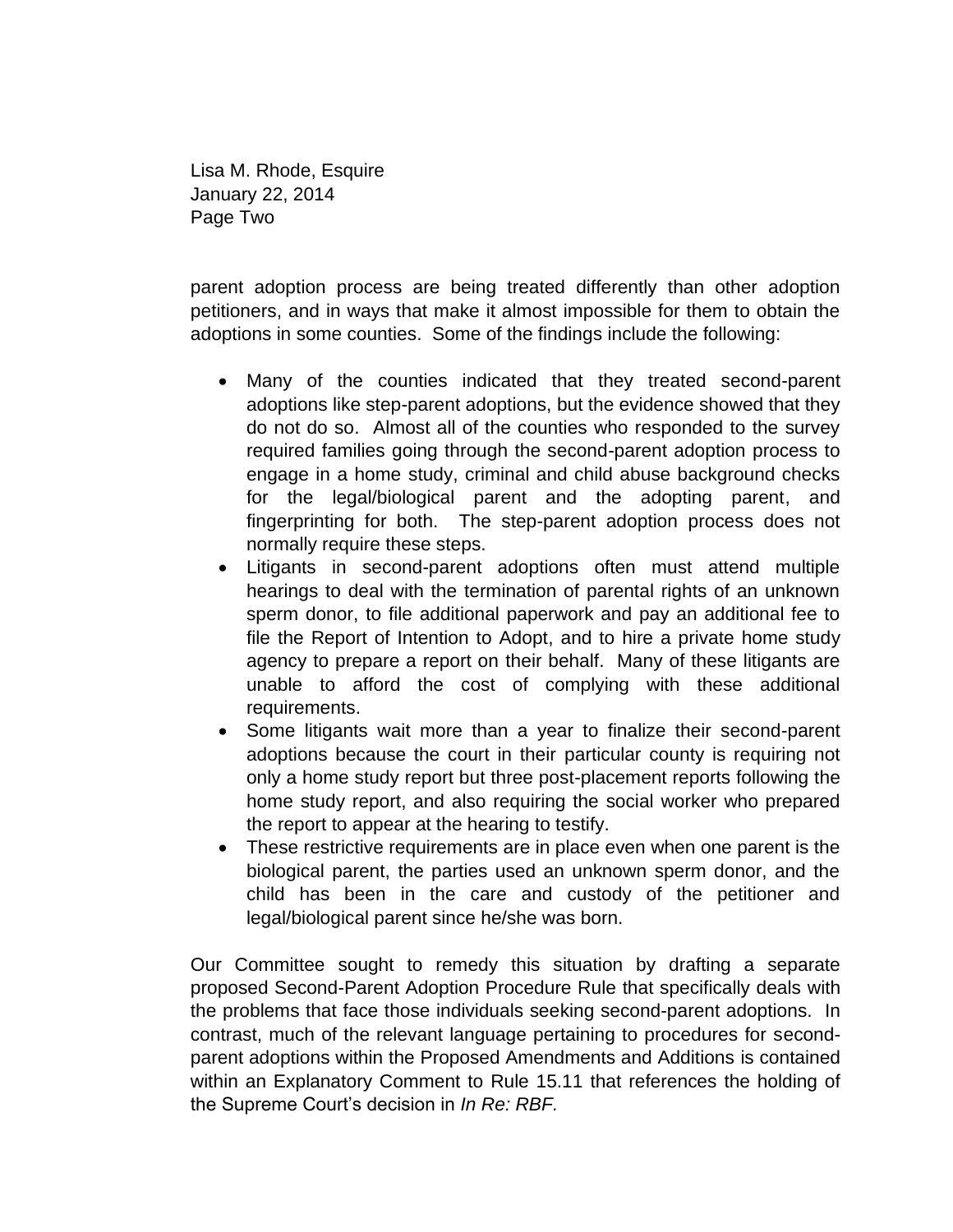Lisa M. Rhode, Esquire January 22, 2014 Page Two

parent adoption process are being treated differently than other adoption petitioners, and in ways that make it almost impossible for them to obtain the adoptions in some counties. Some of the findings include the following:

- Many of the counties indicated that they treated second-parent adoptions like step-parent adoptions, but the evidence showed that they do not do so. Almost all of the counties who responded to the survey required families going through the second-parent adoption process to engage in a home study, criminal and child abuse background checks for the legal/biological parent and the adopting parent, and fingerprinting for both. The step-parent adoption process does not normally require these steps.
- Litigants in second-parent adoptions often must attend multiple hearings to deal with the termination of parental rights of an unknown sperm donor, to file additional paperwork and pay an additional fee to file the Report of Intention to Adopt, and to hire a private home study agency to prepare a report on their behalf. Many of these litigants are unable to afford the cost of complying with these additional requirements.
- Some litigants wait more than a year to finalize their second-parent adoptions because the court in their particular county is requiring not only a home study report but three post-placement reports following the home study report, and also requiring the social worker who prepared the report to appear at the hearing to testify.
- These restrictive requirements are in place even when one parent is the biological parent, the parties used an unknown sperm donor, and the child has been in the care and custody of the petitioner and legal/biological parent since he/she was born.

Our Committee sought to remedy this situation by drafting a separate proposed Second-Parent Adoption Procedure Rule that specifically deals with the problems that face those individuals seeking second-parent adoptions. In contrast, much of the relevant language pertaining to procedures for secondparent adoptions within the Proposed Amendments and Additions is contained within an Explanatory Comment to Rule 15.11 that references the holding of the Supreme Court's decision in *In Re: RBF.*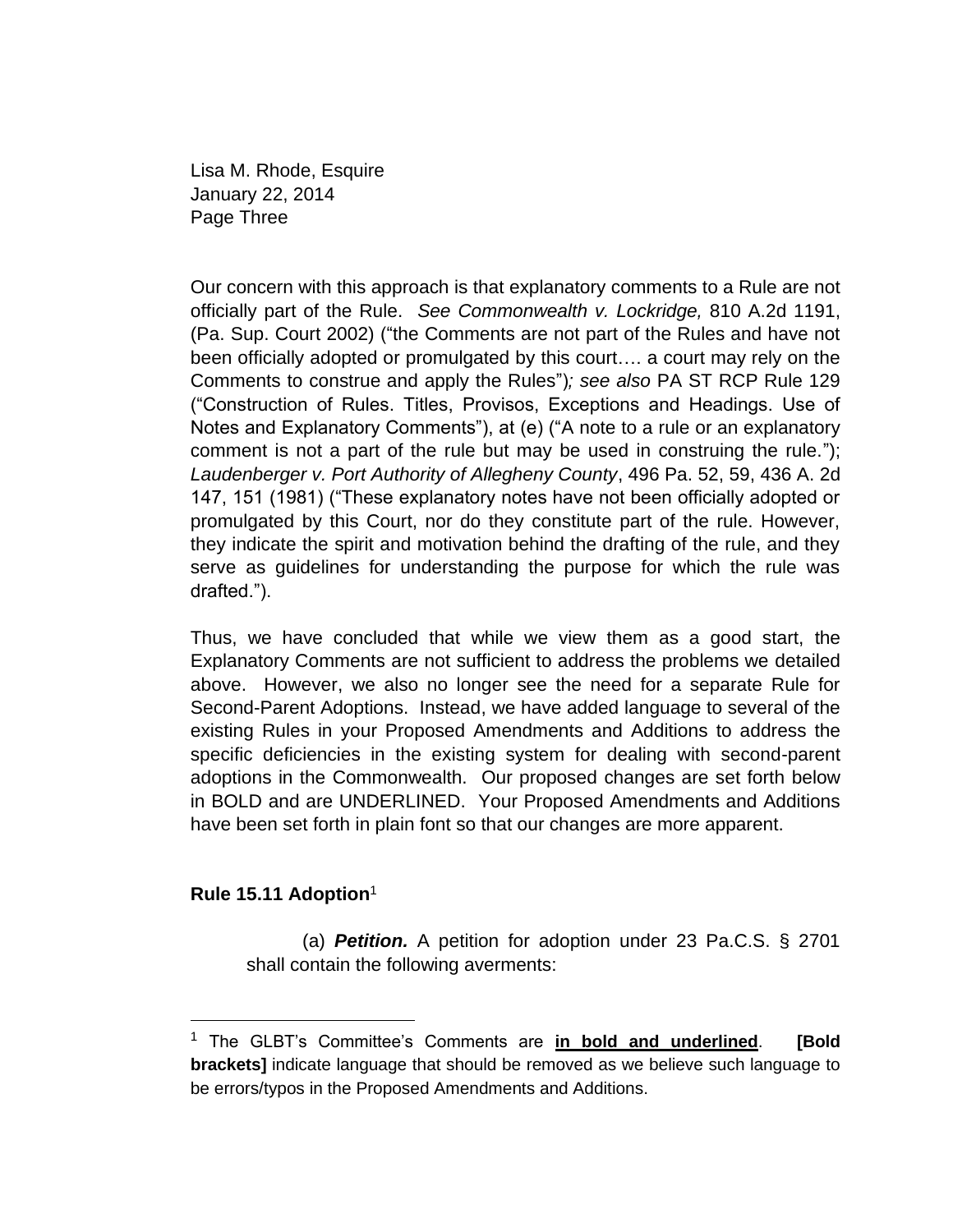Lisa M. Rhode, Esquire January 22, 2014 Page Three

Our concern with this approach is that explanatory comments to a Rule are not officially part of the Rule. *See Commonwealth v. Lockridge,* 810 A.2d 1191, (Pa. Sup. Court 2002) ("the Comments are not part of the Rules and have not been officially adopted or promulgated by this court…. a court may rely on the Comments to construe and apply the Rules")*; see also* PA ST RCP Rule 129 ("Construction of Rules. Titles, Provisos, Exceptions and Headings. Use of Notes and Explanatory Comments"), at (e) ("A note to a rule or an explanatory comment is not a part of the rule but may be used in construing the rule."); *Laudenberger v. Port Authority of Allegheny County*, 496 Pa. 52, 59, 436 A. 2d 147, 151 (1981) ("These explanatory notes have not been officially adopted or promulgated by this Court, nor do they constitute part of the rule. However, they indicate the spirit and motivation behind the drafting of the rule, and they serve as guidelines for understanding the purpose for which the rule was drafted.").

Thus, we have concluded that while we view them as a good start, the Explanatory Comments are not sufficient to address the problems we detailed above. However, we also no longer see the need for a separate Rule for Second-Parent Adoptions. Instead, we have added language to several of the existing Rules in your Proposed Amendments and Additions to address the specific deficiencies in the existing system for dealing with second-parent adoptions in the Commonwealth. Our proposed changes are set forth below in BOLD and are UNDERLINED. Your Proposed Amendments and Additions have been set forth in plain font so that our changes are more apparent.

## **Rule 15.11 Adoption**<sup>1</sup>

(a) *Petition.* A petition for adoption under 23 Pa.C.S. § 2701 shall contain the following averments:

<sup>1</sup> The GLBT's Committee's Comments are **in bold and underlined**. **[Bold brackets]** indicate language that should be removed as we believe such language to be errors/typos in the Proposed Amendments and Additions.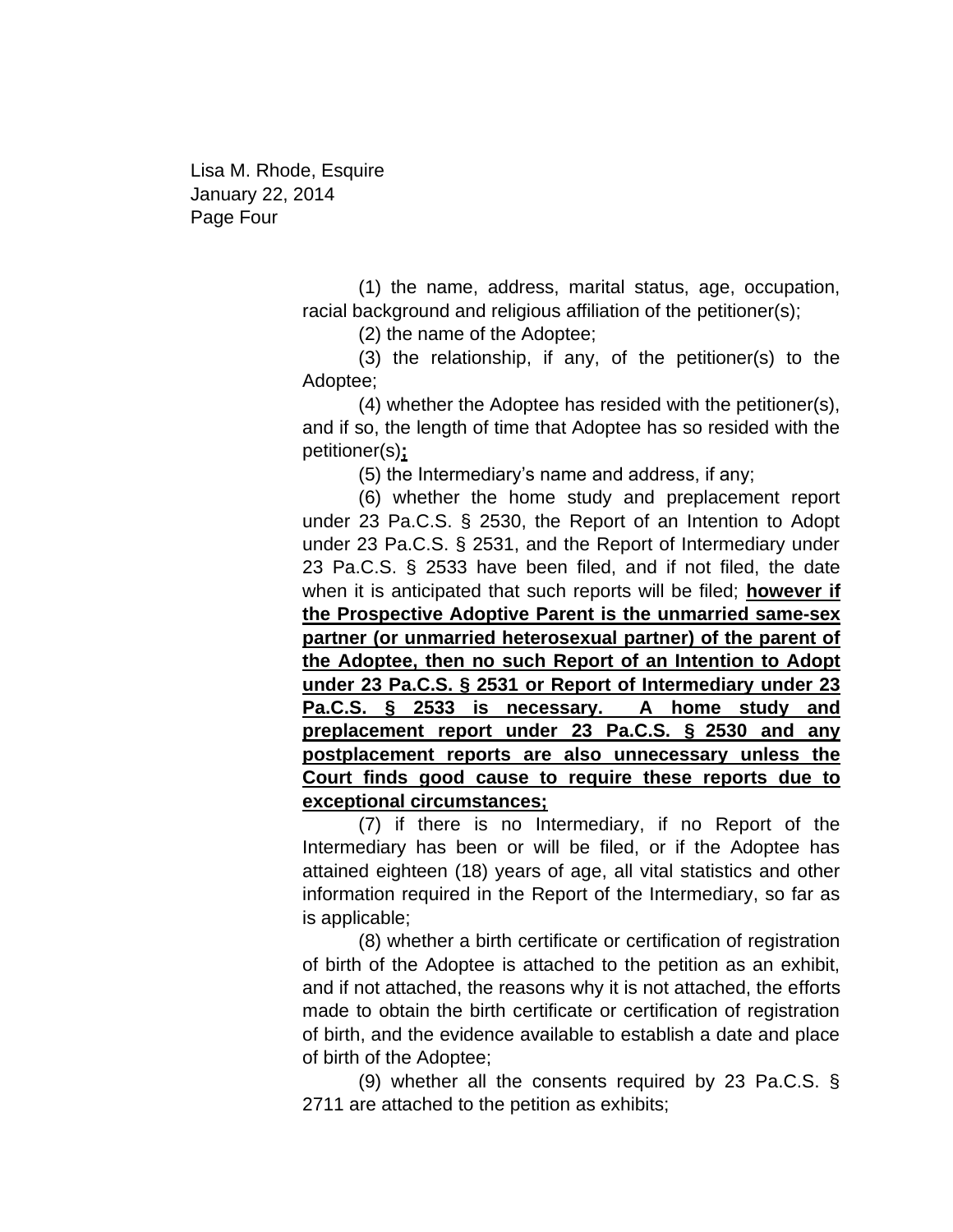Lisa M. Rhode, Esquire January 22, 2014 Page Four

> (1) the name, address, marital status, age, occupation, racial background and religious affiliation of the petitioner(s);

> > (2) the name of the Adoptee;

(3) the relationship, if any, of the petitioner(s) to the Adoptee;

(4) whether the Adoptee has resided with the petitioner(s), and if so, the length of time that Adoptee has so resided with the petitioner(s)**;**

(5) the Intermediary's name and address, if any;

(6) whether the home study and preplacement report under 23 Pa.C.S. § 2530, the Report of an Intention to Adopt under 23 Pa.C.S. § 2531, and the Report of Intermediary under 23 Pa.C.S. § 2533 have been filed, and if not filed, the date when it is anticipated that such reports will be filed; **however if the Prospective Adoptive Parent is the unmarried same-sex partner (or unmarried heterosexual partner) of the parent of the Adoptee, then no such Report of an Intention to Adopt under 23 Pa.C.S. § 2531 or Report of Intermediary under 23 Pa.C.S. § 2533 is necessary. A home study and preplacement report under 23 Pa.C.S. § 2530 and any postplacement reports are also unnecessary unless the Court finds good cause to require these reports due to exceptional circumstances;** 

(7) if there is no Intermediary, if no Report of the Intermediary has been or will be filed, or if the Adoptee has attained eighteen (18) years of age, all vital statistics and other information required in the Report of the Intermediary, so far as is applicable;

(8) whether a birth certificate or certification of registration of birth of the Adoptee is attached to the petition as an exhibit, and if not attached, the reasons why it is not attached, the efforts made to obtain the birth certificate or certification of registration of birth, and the evidence available to establish a date and place of birth of the Adoptee;

(9) whether all the consents required by 23 Pa.C.S. § 2711 are attached to the petition as exhibits;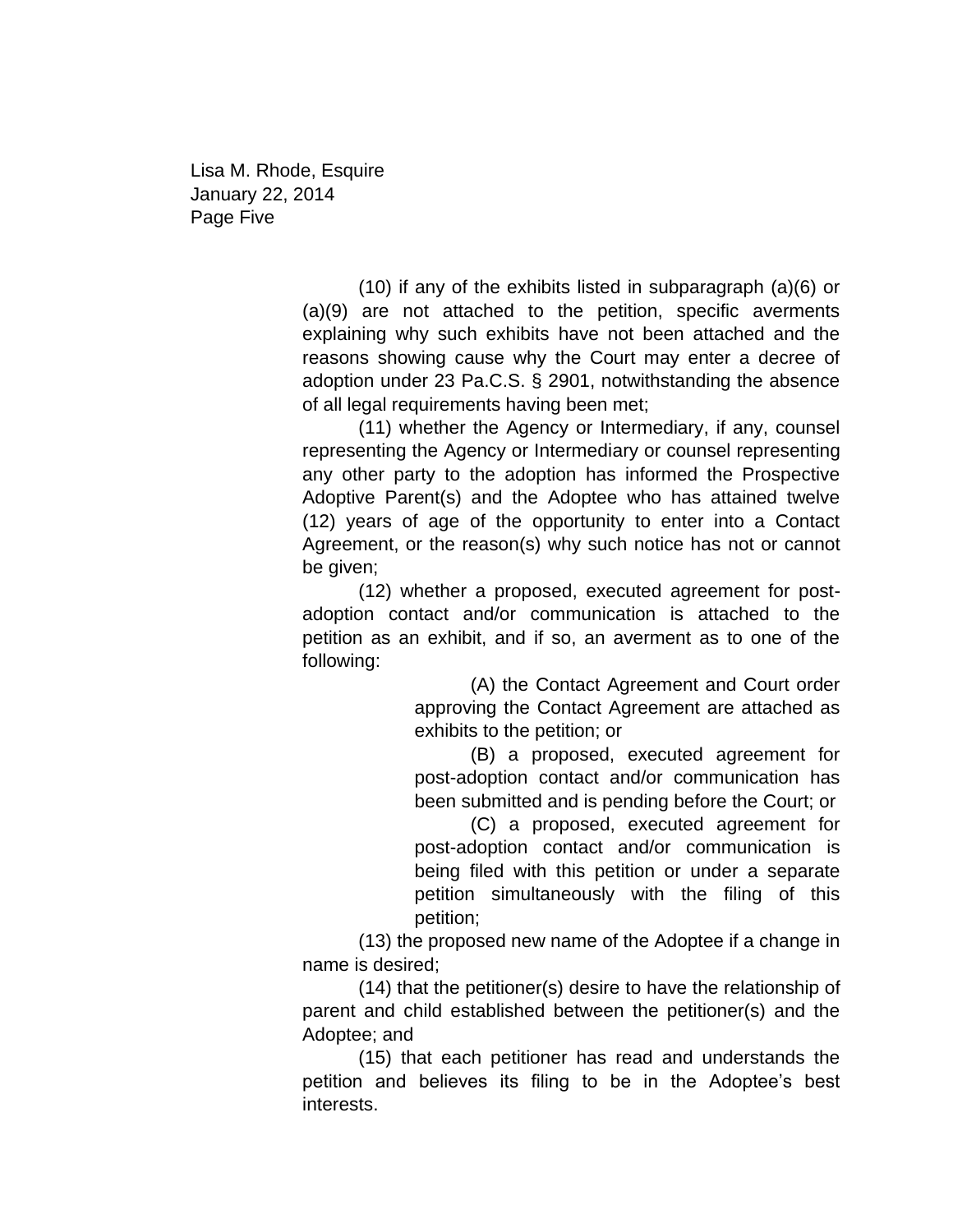Lisa M. Rhode, Esquire January 22, 2014 Page Five

> (10) if any of the exhibits listed in subparagraph (a)(6) or (a)(9) are not attached to the petition, specific averments explaining why such exhibits have not been attached and the reasons showing cause why the Court may enter a decree of adoption under 23 Pa.C.S. § 2901, notwithstanding the absence of all legal requirements having been met;

> (11) whether the Agency or Intermediary, if any, counsel representing the Agency or Intermediary or counsel representing any other party to the adoption has informed the Prospective Adoptive Parent(s) and the Adoptee who has attained twelve (12) years of age of the opportunity to enter into a Contact Agreement, or the reason(s) why such notice has not or cannot be given;

> (12) whether a proposed, executed agreement for postadoption contact and/or communication is attached to the petition as an exhibit, and if so, an averment as to one of the following:

> > (A) the Contact Agreement and Court order approving the Contact Agreement are attached as exhibits to the petition; or

> > (B) a proposed, executed agreement for post-adoption contact and/or communication has been submitted and is pending before the Court; or

> > (C) a proposed, executed agreement for post-adoption contact and/or communication is being filed with this petition or under a separate petition simultaneously with the filing of this petition;

(13) the proposed new name of the Adoptee if a change in name is desired;

(14) that the petitioner(s) desire to have the relationship of parent and child established between the petitioner(s) and the Adoptee; and

(15) that each petitioner has read and understands the petition and believes its filing to be in the Adoptee's best interests.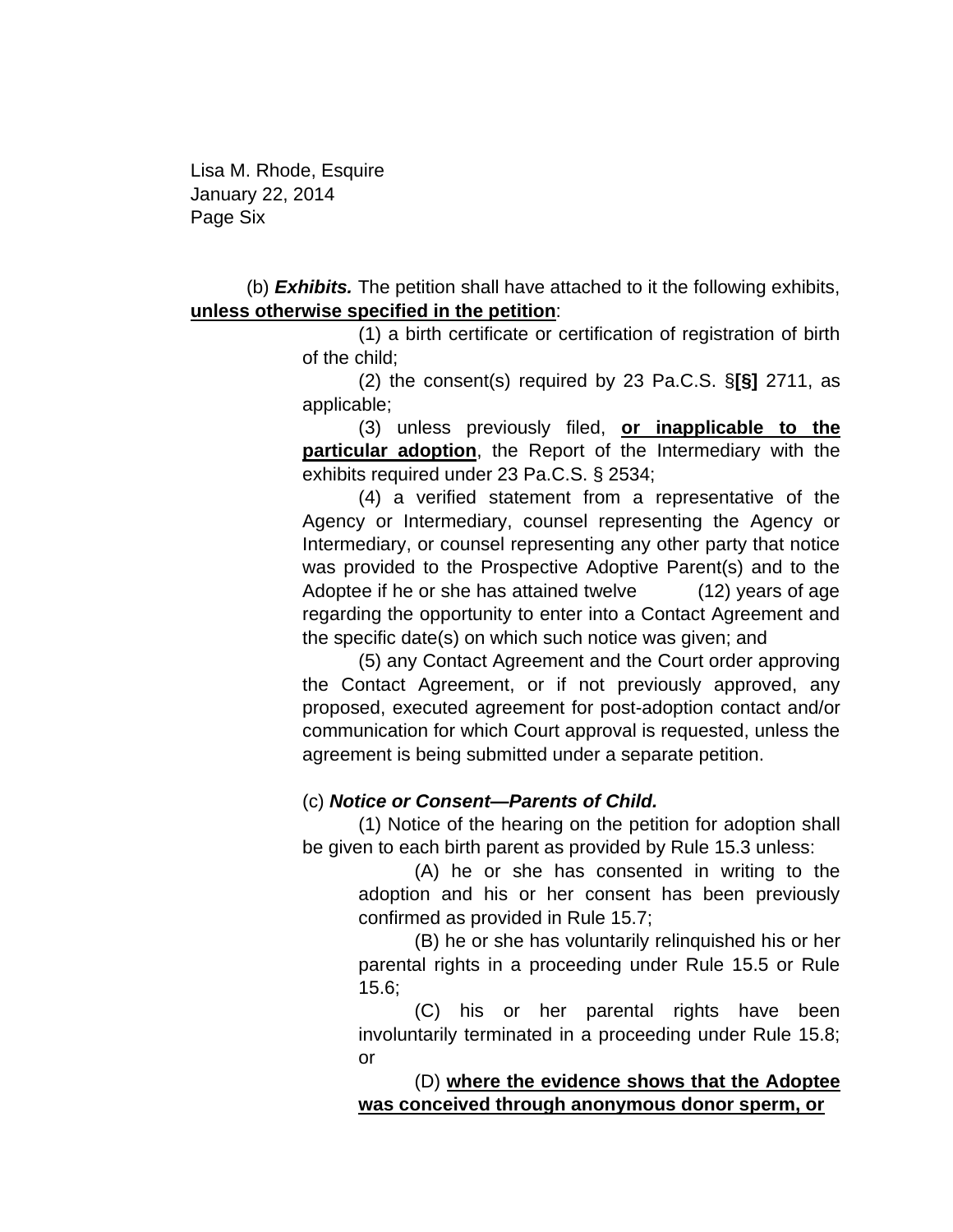Lisa M. Rhode, Esquire January 22, 2014 Page Six

(b) *Exhibits.* The petition shall have attached to it the following exhibits, **unless otherwise specified in the petition**:

> (1) a birth certificate or certification of registration of birth of the child;

> (2) the consent(s) required by 23 Pa.C.S. §**[§]** 2711, as applicable;

> (3) unless previously filed, **or inapplicable to the particular adoption**, the Report of the Intermediary with the exhibits required under 23 Pa.C.S. § 2534;

> (4) a verified statement from a representative of the Agency or Intermediary, counsel representing the Agency or Intermediary, or counsel representing any other party that notice was provided to the Prospective Adoptive Parent(s) and to the Adoptee if he or she has attained twelve (12) years of age regarding the opportunity to enter into a Contact Agreement and the specific date(s) on which such notice was given; and

> (5) any Contact Agreement and the Court order approving the Contact Agreement, or if not previously approved, any proposed, executed agreement for post-adoption contact and/or communication for which Court approval is requested, unless the agreement is being submitted under a separate petition.

## (c) *Notice or Consent—Parents of Child.*

(1) Notice of the hearing on the petition for adoption shall be given to each birth parent as provided by Rule 15.3 unless:

> (A) he or she has consented in writing to the adoption and his or her consent has been previously confirmed as provided in Rule 15.7;

> (B) he or she has voluntarily relinquished his or her parental rights in a proceeding under Rule 15.5 or Rule 15.6;

> (C) his or her parental rights have been involuntarily terminated in a proceeding under Rule 15.8; or

> (D) **where the evidence shows that the Adoptee was conceived through anonymous donor sperm, or**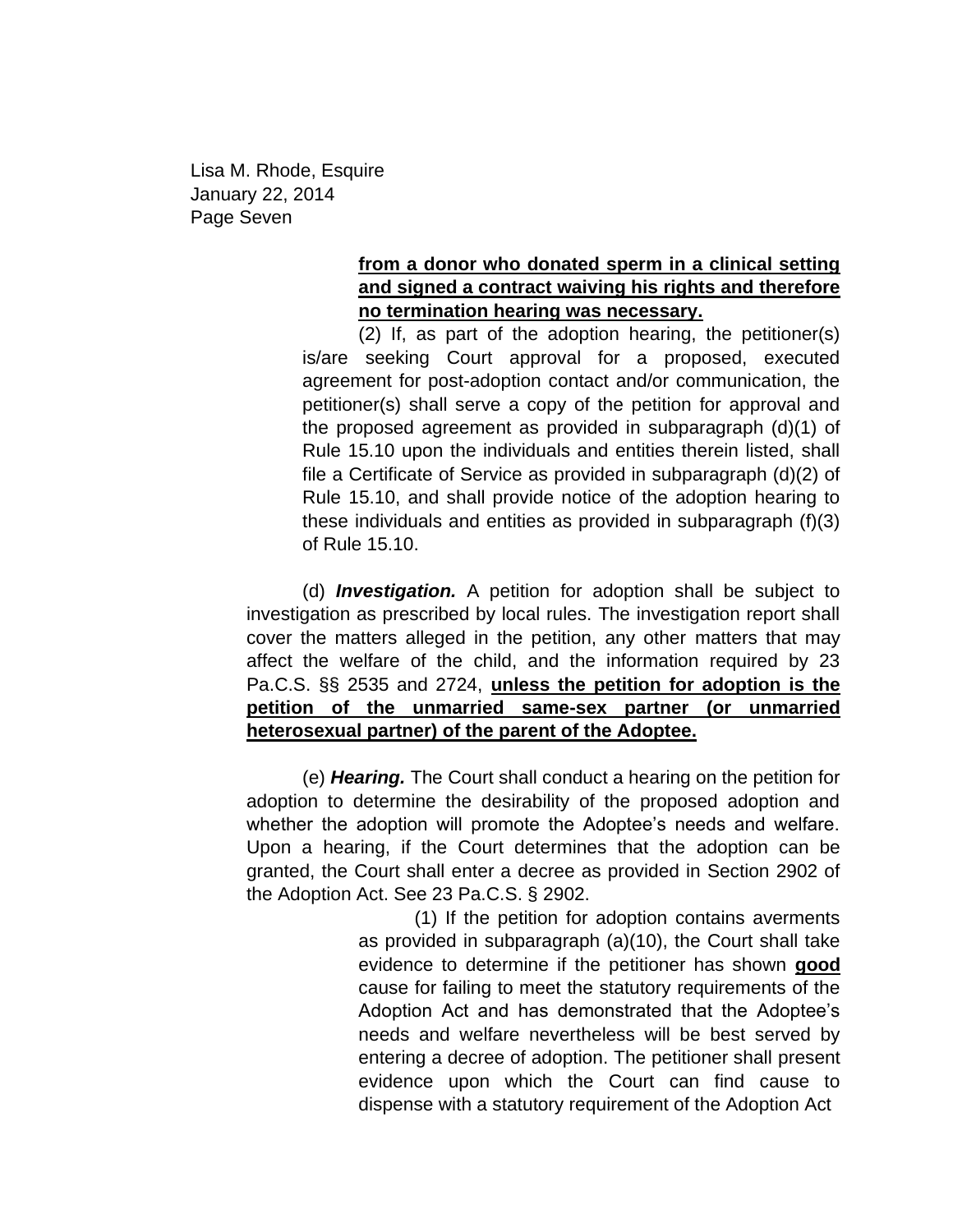Lisa M. Rhode, Esquire January 22, 2014 Page Seven

## **from a donor who donated sperm in a clinical setting and signed a contract waiving his rights and therefore no termination hearing was necessary.**

(2) If, as part of the adoption hearing, the petitioner(s) is/are seeking Court approval for a proposed, executed agreement for post-adoption contact and/or communication, the petitioner(s) shall serve a copy of the petition for approval and the proposed agreement as provided in subparagraph (d)(1) of Rule 15.10 upon the individuals and entities therein listed, shall file a Certificate of Service as provided in subparagraph (d)(2) of Rule 15.10, and shall provide notice of the adoption hearing to these individuals and entities as provided in subparagraph (f)(3) of Rule 15.10.

(d) *Investigation.* A petition for adoption shall be subject to investigation as prescribed by local rules. The investigation report shall cover the matters alleged in the petition, any other matters that may affect the welfare of the child, and the information required by 23 Pa.C.S. §§ 2535 and 2724, **unless the petition for adoption is the petition of the unmarried same-sex partner (or unmarried heterosexual partner) of the parent of the Adoptee.**

(e) *Hearing.* The Court shall conduct a hearing on the petition for adoption to determine the desirability of the proposed adoption and whether the adoption will promote the Adoptee's needs and welfare. Upon a hearing, if the Court determines that the adoption can be granted, the Court shall enter a decree as provided in Section 2902 of the Adoption Act. See 23 Pa.C.S. § 2902.

> (1) If the petition for adoption contains averments as provided in subparagraph (a)(10), the Court shall take evidence to determine if the petitioner has shown **good** cause for failing to meet the statutory requirements of the Adoption Act and has demonstrated that the Adoptee's needs and welfare nevertheless will be best served by entering a decree of adoption. The petitioner shall present evidence upon which the Court can find cause to dispense with a statutory requirement of the Adoption Act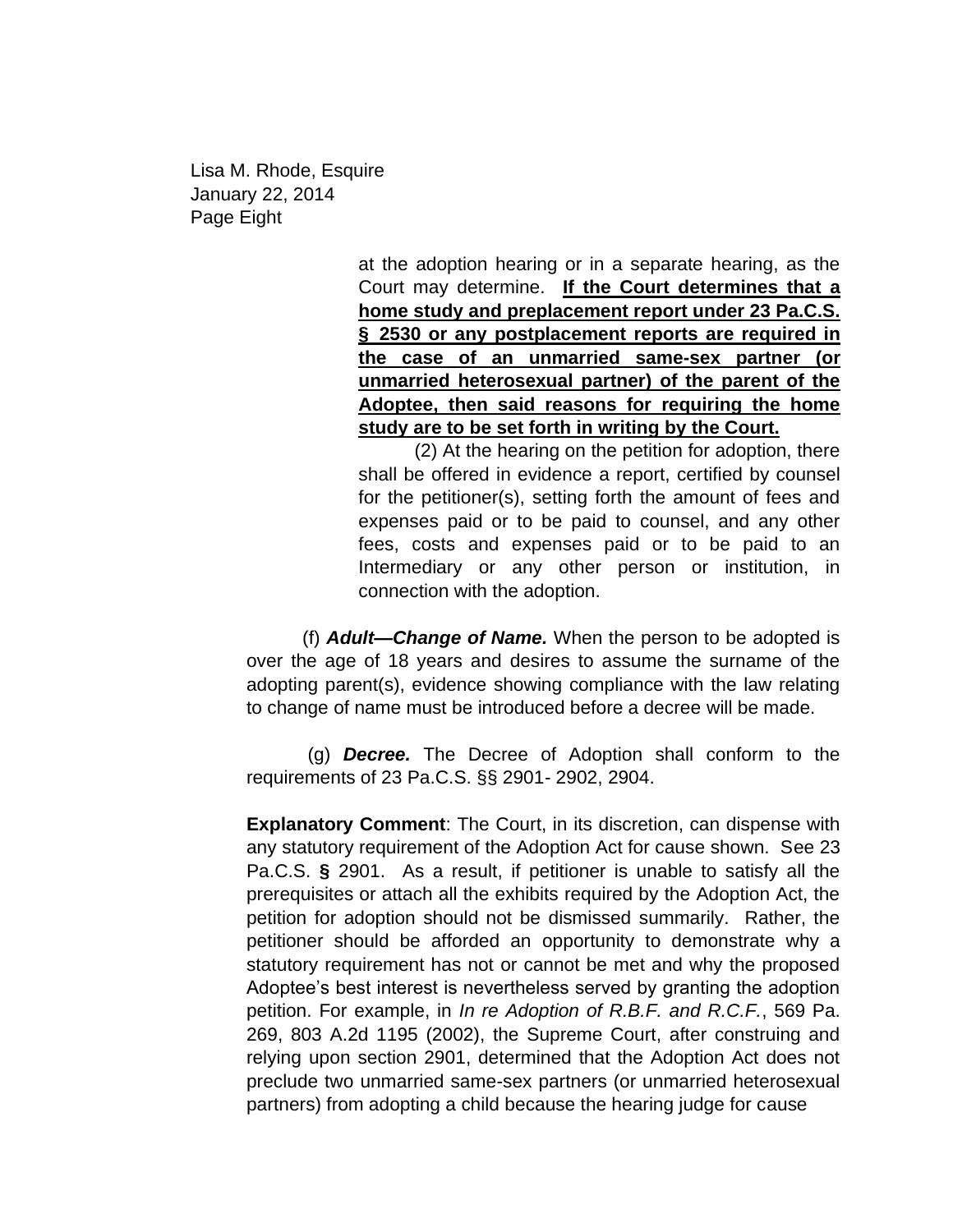Lisa M. Rhode, Esquire January 22, 2014 Page Eight

> at the adoption hearing or in a separate hearing, as the Court may determine. **If the Court determines that a home study and preplacement report under 23 Pa.C.S. § 2530 or any postplacement reports are required in the case of an unmarried same-sex partner (or unmarried heterosexual partner) of the parent of the Adoptee, then said reasons for requiring the home study are to be set forth in writing by the Court.**

> (2) At the hearing on the petition for adoption, there shall be offered in evidence a report, certified by counsel for the petitioner(s), setting forth the amount of fees and expenses paid or to be paid to counsel, and any other fees, costs and expenses paid or to be paid to an Intermediary or any other person or institution, in connection with the adoption.

(f) *Adult—Change of Name.* When the person to be adopted is over the age of 18 years and desires to assume the surname of the adopting parent(s), evidence showing compliance with the law relating to change of name must be introduced before a decree will be made.

(g) *Decree.* The Decree of Adoption shall conform to the requirements of 23 Pa.C.S. §§ 2901- 2902, 2904.

**Explanatory Comment**: The Court, in its discretion, can dispense with any statutory requirement of the Adoption Act for cause shown. See 23 Pa.C.S. **§** 2901. As a result, if petitioner is unable to satisfy all the prerequisites or attach all the exhibits required by the Adoption Act, the petition for adoption should not be dismissed summarily. Rather, the petitioner should be afforded an opportunity to demonstrate why a statutory requirement has not or cannot be met and why the proposed Adoptee's best interest is nevertheless served by granting the adoption petition. For example, in *In re Adoption of R.B.F. and R.C.F.*, 569 Pa. 269, 803 A.2d 1195 (2002), the Supreme Court, after construing and relying upon section 2901, determined that the Adoption Act does not preclude two unmarried same-sex partners (or unmarried heterosexual partners) from adopting a child because the hearing judge for cause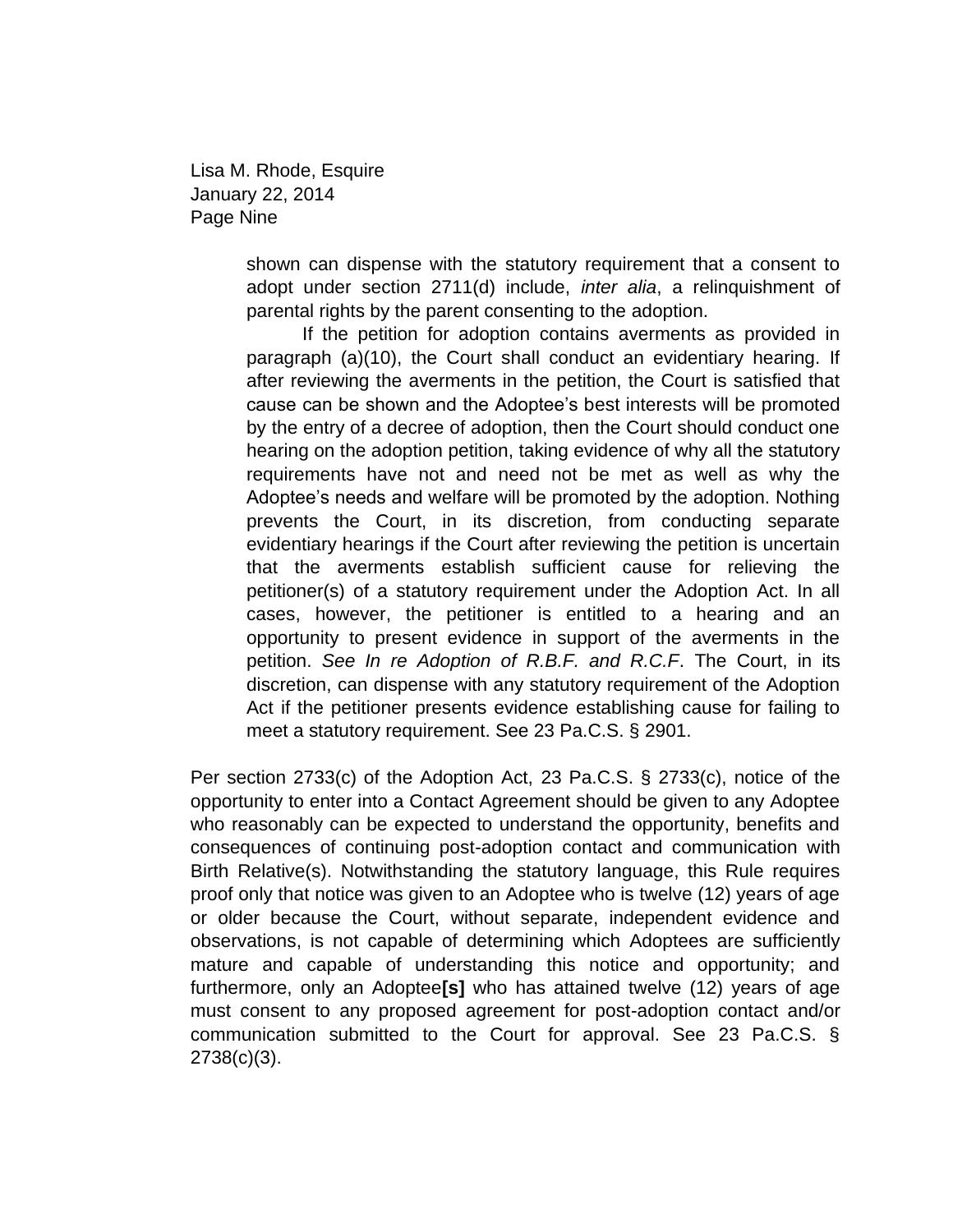Lisa M. Rhode, Esquire January 22, 2014 Page Nine

> shown can dispense with the statutory requirement that a consent to adopt under section 2711(d) include, *inter alia*, a relinquishment of parental rights by the parent consenting to the adoption.

> If the petition for adoption contains averments as provided in paragraph (a)(10), the Court shall conduct an evidentiary hearing. If after reviewing the averments in the petition, the Court is satisfied that cause can be shown and the Adoptee's best interests will be promoted by the entry of a decree of adoption, then the Court should conduct one hearing on the adoption petition, taking evidence of why all the statutory requirements have not and need not be met as well as why the Adoptee's needs and welfare will be promoted by the adoption. Nothing prevents the Court, in its discretion, from conducting separate evidentiary hearings if the Court after reviewing the petition is uncertain that the averments establish sufficient cause for relieving the petitioner(s) of a statutory requirement under the Adoption Act. In all cases, however, the petitioner is entitled to a hearing and an opportunity to present evidence in support of the averments in the petition. *See In re Adoption of R.B.F. and R.C.F*. The Court, in its discretion, can dispense with any statutory requirement of the Adoption Act if the petitioner presents evidence establishing cause for failing to meet a statutory requirement. See 23 Pa.C.S. § 2901.

Per section 2733(c) of the Adoption Act, 23 Pa.C.S. § 2733(c), notice of the opportunity to enter into a Contact Agreement should be given to any Adoptee who reasonably can be expected to understand the opportunity, benefits and consequences of continuing post-adoption contact and communication with Birth Relative(s). Notwithstanding the statutory language, this Rule requires proof only that notice was given to an Adoptee who is twelve (12) years of age or older because the Court, without separate, independent evidence and observations, is not capable of determining which Adoptees are sufficiently mature and capable of understanding this notice and opportunity; and furthermore, only an Adoptee**[s]** who has attained twelve (12) years of age must consent to any proposed agreement for post-adoption contact and/or communication submitted to the Court for approval. See 23 Pa.C.S. § 2738(c)(3).